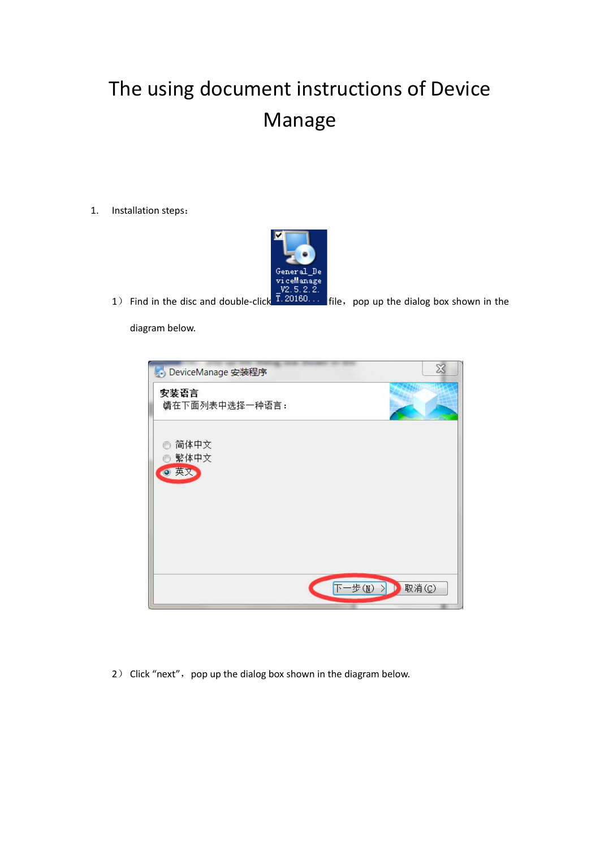## The using document instructions of Device Manage

1. Installation steps:



1) Find in the disc and double-click file,pop up the dialog box shown in the

diagram below.

| DeviceManage 安装程序           | X                |
|-----------------------------|------------------|
| 安装语言<br>请在下面列表中选择一种语言:      |                  |
| 简体中文<br>O<br>◎ 繁体中文<br>◎ 英文 |                  |
|                             |                  |
|                             |                  |
|                             | 下一步(N)><br>取消(C) |

2) Click "next", pop up the dialog box shown in the diagram below.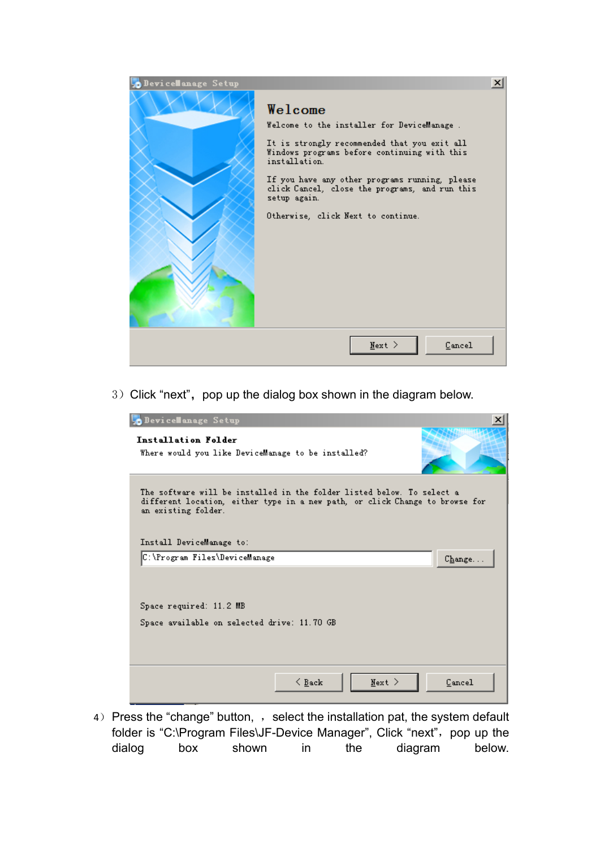

3) Click "next", pop up the dialog box shown in the diagram below.

| DeviceManage Setup                                                                                                                                                            | ×      |
|-------------------------------------------------------------------------------------------------------------------------------------------------------------------------------|--------|
| Installation Folder<br>Where would you like DeviceManage to be installed?                                                                                                     |        |
| The software will be installed in the folder listed below. To select a<br>different location, either type in a new path, or click Change to browse for<br>an existing folder. |        |
| Install DeviceManage to:                                                                                                                                                      |        |
| C:\Program Files\DeviceManage                                                                                                                                                 | Change |
| Space required: 11.2 MB<br>Space available on selected drive: 11.70 GB                                                                                                        |        |
| $\leq$ Back<br>$Next >$                                                                                                                                                       | Cancel |

4) Press the "change" button, , select the installation pat, the system default folder is "C:\Program Files\JF-Device Manager", Click "next", pop up the dialog box shown in the diagram below.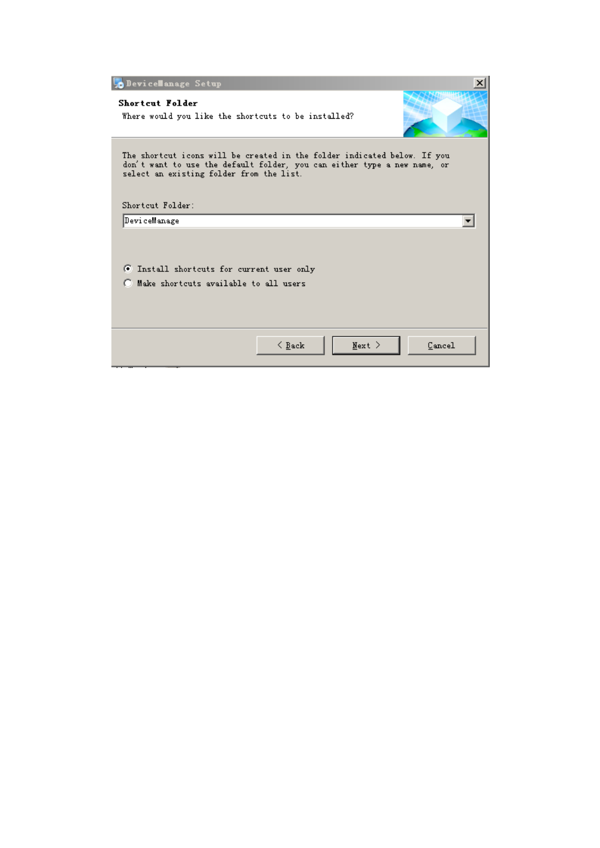| DeviceManage Setup                                                                                                                                                                                                   | x |
|----------------------------------------------------------------------------------------------------------------------------------------------------------------------------------------------------------------------|---|
| <b>Shortcut Folder</b><br>Where would you like the shortcuts to be installed?                                                                                                                                        |   |
| The shortcut icons will be created in the folder indicated below. If you<br>don't want to use the default folder, you can either type a new name, or<br>select an existing folder from the list.<br>Shortcut Folder: |   |
| DeviceManage                                                                                                                                                                                                         |   |
| 6 Install shortcuts for current user only<br>Make shortcuts available to all users                                                                                                                                   |   |
| $Next >$<br>$\leq$ Back<br>Cancel                                                                                                                                                                                    |   |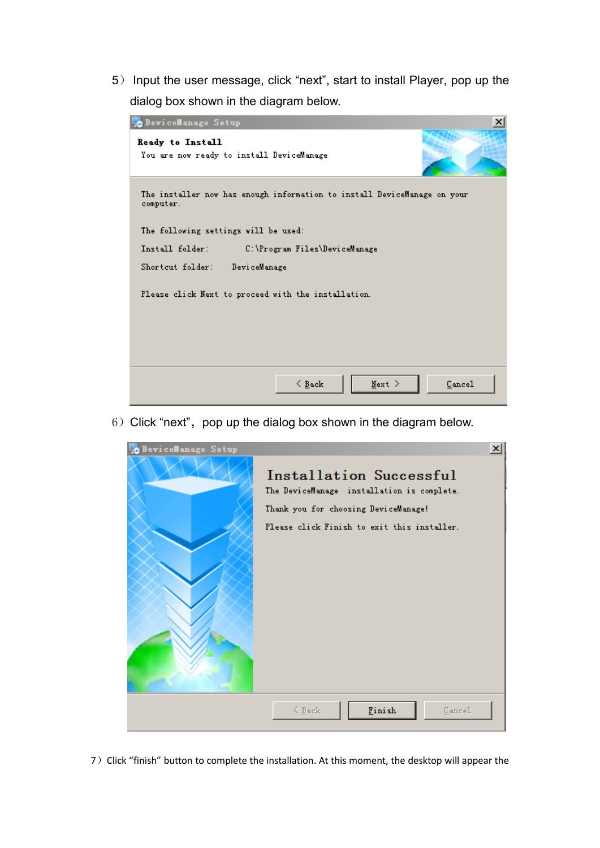5) Input the user message, click "next", start to install Player, pop up the dialog box shown in the diagram below.



 $6)$  Click "next", pop up the dialog box shown in the diagram below.



7) Click "finish" button to complete the installation. At this moment, the desktop will appear the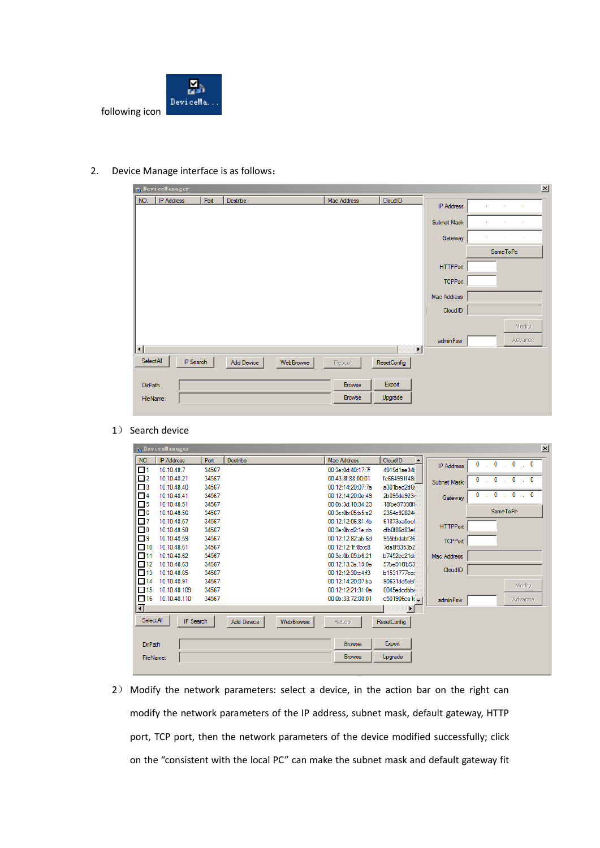

2. Device Manage interface is as follows:

| $\vert x \vert$<br><b>R.</b> Device Manager |            |      |            |           |             |                       |                   |          |
|---------------------------------------------|------------|------|------------|-----------|-------------|-----------------------|-------------------|----------|
| NO.                                         | IP Address | Port | Destribe   |           | Mac Address | CloudID               | <b>IP Address</b> | ×        |
|                                             |            |      |            |           |             |                       |                   | ÷        |
|                                             |            |      |            |           |             |                       | Subnet Mask       |          |
|                                             |            |      |            |           |             |                       | Gateway           | ×        |
|                                             |            |      |            |           |             |                       |                   | SameToPc |
|                                             |            |      |            |           |             |                       | <b>HTTPPort</b>   |          |
|                                             |            |      |            |           |             |                       | <b>TCPPort</b>    |          |
|                                             |            |      |            |           |             |                       | Mac Address       |          |
|                                             |            |      |            |           |             |                       | CloudID           |          |
|                                             |            |      |            |           |             |                       |                   | Modify   |
|                                             |            |      |            |           |             | $\blacktriangleright$ | adminPsw          | Advance  |
| $\left  \cdot \right $<br>SelectAll         |            |      |            |           |             |                       |                   |          |
|                                             | IP Search  |      | Add Device | WebBrowse | Reboot      | ResetConfig           |                   |          |
| <b>DirPath</b>                              |            |      |            |           | Browse      | Export                |                   |          |
| FileName:                                   |            |      |            |           | Browse      | Upgrade               |                   |          |
|                                             |            |      |            |           |             |                       |                   |          |

1) Search device

| $\vert x \vert$<br><b>T.</b> Device anager |                   |       |                                |                   |                    |                   |                                                            |  |
|--------------------------------------------|-------------------|-------|--------------------------------|-------------------|--------------------|-------------------|------------------------------------------------------------|--|
| NO.                                        | <b>IP Address</b> | Port  | Destribe                       | Mac Address       | CloudID            |                   | 0<br>$\mathbf{0}$<br>$\mathbf{0}$<br>$\mathbf 0$<br>$\sim$ |  |
| Ω1                                         | 10.10.48.7        | 34567 |                                | 00:3e:0d:40:17:7f | 4919d1ae34         | <b>IP Address</b> |                                                            |  |
| $\Box$ 2                                   | 10.10.48.21       | 34567 |                                | 00:43:8f:88:00:01 | fc664991f48d       | Subnet Mask       | 0<br>0<br>0<br>$\mathbf{0}$                                |  |
| $\Box$ 3                                   | 10.10.48.40       | 34567 |                                | 00:12:14:20:07:7a | a301bed2d6a        |                   |                                                            |  |
| $-4$                                       | 10.10.48.41       | 34567 |                                | 00:12:14:20:0e:49 | 2b095de9234        | Gateway           | 0<br>0<br>0<br>0<br><b>Simple</b><br><b>Simple</b>         |  |
| $\Box$ 5                                   | 10.10.48.51       | 34567 |                                | 00:0b:3d:10:34:23 | 18fbe97398f        |                   |                                                            |  |
| $\Box$ 6                                   | 10.10.48.56       | 34567 |                                | 00:3e:0b:05:b5:a2 | 2354e928244        |                   | SameToPc                                                   |  |
| $\Box$ 7                                   | 10.10.48.57       | 34567 |                                | 00:12:12:06:81:4b | 61873ea5ccl        | <b>HTTPPort</b>   |                                                            |  |
| $\Box$ 8                                   | 10.10.48.58       | 34567 |                                | 00:3e:0b:42:1e:cb | dfb0f86d83ef       |                   |                                                            |  |
| $\Box$ 9                                   | 10.10.48.59       | 34567 |                                | 00:12:12:82:ab:6d | 955bbdabf36        | <b>TCPPort</b>    |                                                            |  |
| $\Box$ 10                                  | 10.10.48.61       | 34567 |                                | 00:12:12:1f:8b:c8 | 7da8f9353b2        |                   |                                                            |  |
| $\Box$ 11                                  | 10.10.48.62       | 34567 |                                | 00:3e:0b:05:b6:21 | b7452cc21dc        | Mac Address       |                                                            |  |
| $\Box$ 12                                  | 10.10.48.63       | 34567 |                                | 00:12:13:3a:19:0e | 57be916fb53        | CloudID           |                                                            |  |
| п<br>13                                    | 10.10.48.65       | 34567 |                                | 00:12:12:30:c4f3  | b1531777ccc        |                   |                                                            |  |
| п<br>14                                    | 10.10.48.91       | 34567 |                                | 00:12:14:20:07ba  | 90631dd5cbf        |                   | Modify                                                     |  |
| п<br>15                                    | 10.10.48.109      | 34567 |                                | 00:12:12:21:31:0a | 0045edcdbbc        |                   |                                                            |  |
| □<br>16                                    | 10.10.48.110      | 34567 |                                | 00:0b:33:72:00:01 | c501906ca1(-1      | adminPsw          | <b>Advance</b>                                             |  |
| न                                          |                   |       |                                |                   |                    |                   |                                                            |  |
| <b>SelectAll</b>                           | <b>IP</b> Search  |       | <b>Add Device</b><br>WebBrowse | Reboot            | <b>ResetConfig</b> |                   |                                                            |  |
|                                            |                   |       |                                |                   |                    |                   |                                                            |  |
| <b>DirPath</b>                             |                   |       |                                | <b>Browse</b>     | Export             |                   |                                                            |  |
| FileName:                                  |                   |       |                                | <b>Browse</b>     | Upgrade            |                   |                                                            |  |
|                                            |                   |       |                                |                   |                    |                   |                                                            |  |

2) Modify the network parameters: select a device, in the action bar on the right can modify the network parameters of the IP address, subnet mask, default gateway, HTTP port, TCP port, then the network parameters of the device modified successfully; click on the "consistent with the local PC" can make the subnet mask and default gateway fit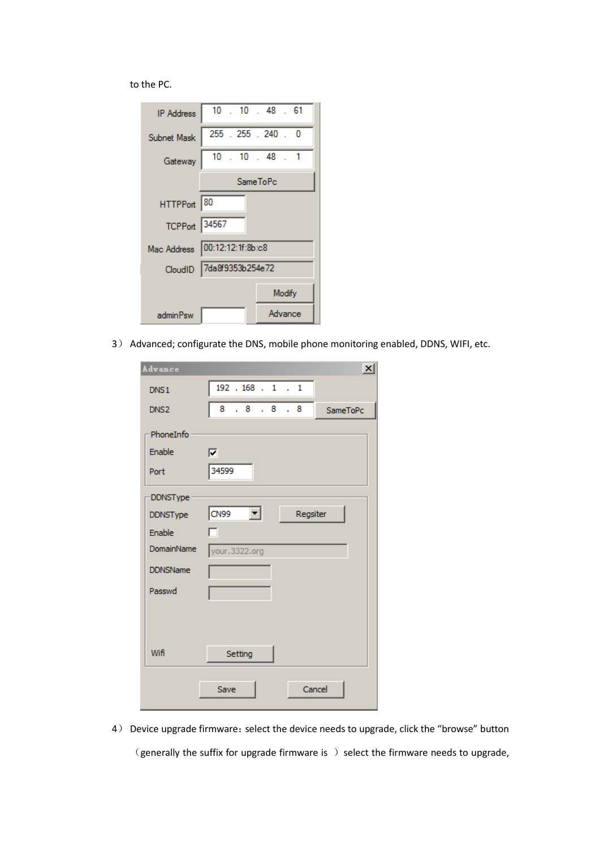to the PC.

| IP Address    | $10$ $\,$ $10$ $\,$ $48$ $\,$ $61$ |  |  |  |  |  |
|---------------|------------------------------------|--|--|--|--|--|
| Subnet Mask   | 255 . 255 . 240 . 0                |  |  |  |  |  |
| Gateway       | $10$ $. 10$ $. 48$ $. 1$           |  |  |  |  |  |
|               | <b>SameToPc</b>                    |  |  |  |  |  |
| HTTPPort 80   |                                    |  |  |  |  |  |
| TCPPort 34567 |                                    |  |  |  |  |  |
|               | Mac Address 00:12:12:1f:8b:c8      |  |  |  |  |  |
|               | CloudID 7da8f9353b254e72           |  |  |  |  |  |
|               | Modify                             |  |  |  |  |  |
| adminPsw      | Advance                            |  |  |  |  |  |

3) Advanced; configurate the DNS, mobile phone monitoring enabled, DDNS, WIFI, etc.

| Advance          | $\vert x \vert$                                          |
|------------------|----------------------------------------------------------|
| DNS <sub>1</sub> | $192$ $.168$ $.1$ $.1$                                   |
| DNS <sub>2</sub> | 8<br>.8.8.8.<br>SameToPc                                 |
| PhoneInfo        |                                                          |
| Enable           | ⊽                                                        |
| Port             | 34599                                                    |
| DDNSType         |                                                          |
| <b>DDNSType</b>  | CN <sub>99</sub><br>$\vert \mathbf{r} \vert$<br>Regsiter |
| Enable           |                                                          |
| DomainName       | your.3322.org                                            |
| <b>DDNSName</b>  |                                                          |
| Passwd           |                                                          |
|                  |                                                          |
|                  |                                                          |
| Wifi             | Setting                                                  |
|                  | Cancel<br>Save                                           |

4) Device upgrade firmware: select the device needs to upgrade, click the "browse" button  $\zeta$  (generally the suffix for upgrade firmware is  $\zeta$  ) select the firmware needs to upgrade,